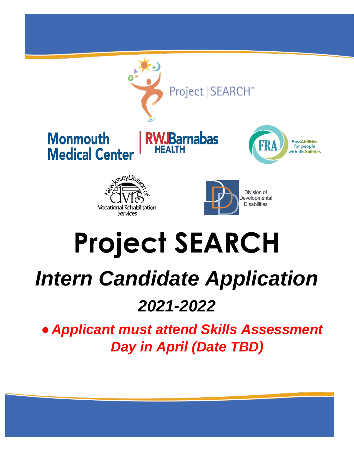

# **Project SEARCH**

## *Intern Candidate Application*

### *2021-2022*

● *Applicant must attend Skills Assessment Day in April (Date TBD)*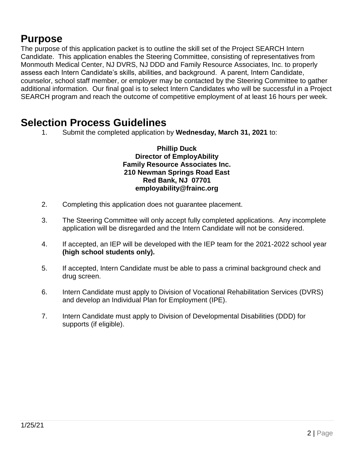#### **Purpose**

The purpose of this application packet is to outline the skill set of the Project SEARCH Intern Candidate. This application enables the Steering Committee, consisting of representatives from Monmouth Medical Center, NJ DVRS, NJ DDD and Family Resource Associates, Inc. to properly assess each Intern Candidate's skills, abilities, and background. A parent, Intern Candidate, counselor, school staff member, or employer may be contacted by the Steering Committee to gather additional information. Our final goal is to select Intern Candidates who will be successful in a Project SEARCH program and reach the outcome of competitive employment of at least 16 hours per week.

#### **Selection Process Guidelines**

1. Submit the completed application by **Wednesday, March 31, 2021** to:

**Phillip Duck Director of EmployAbility Family Resource Associates Inc. 210 Newman Springs Road East Red Bank, NJ 07701 employability@frainc.org** 

- 2. Completing this application does not guarantee placement.
- 3. The Steering Committee will only accept fully completed applications. Any incomplete application will be disregarded and the Intern Candidate will not be considered.
- 4. If accepted, an IEP will be developed with the IEP team for the 2021-2022 school year **(high school students only).**
- 5. If accepted, Intern Candidate must be able to pass a criminal background check and drug screen.
- 6. Intern Candidate must apply to Division of Vocational Rehabilitation Services (DVRS) and develop an Individual Plan for Employment (IPE).
- 7. Intern Candidate must apply to Division of Developmental Disabilities (DDD) for supports (if eligible).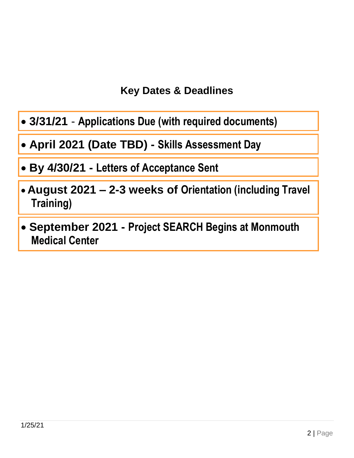#### **Key Dates & Deadlines**

- **3/31/21 Applications Due (with required documents)**
- **April 2021 (Date TBD) - Skills Assessment Day**
- **By 4/30/21 - Letters of Acceptance Sent**
- **August 2021 – 2-3 weeks of Orientation (including Travel Training)**
- **September 2021 - Project SEARCH Begins at Monmouth Medical Center**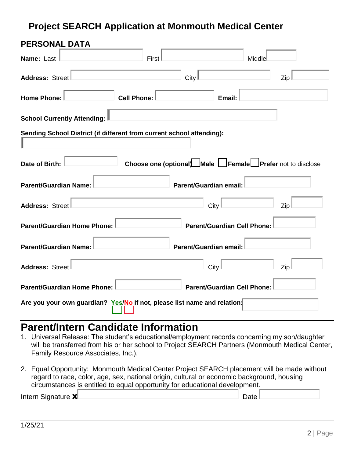#### **Project SEARCH Application at Monmouth Medical Center**

| <b>PERSONAL DATA</b>                                                     |                    |                        |                                                          |     |
|--------------------------------------------------------------------------|--------------------|------------------------|----------------------------------------------------------|-----|
| Name: Last                                                               | First              |                        | Middle                                                   |     |
| Address: Street                                                          |                    | City                   |                                                          | Zip |
| <b>Home Phone:</b>                                                       | <b>Cell Phone:</b> |                        | Email:                                                   |     |
| School Currently Attending:                                              |                    |                        |                                                          |     |
| Sending School District (if different from current school attending):    |                    |                        |                                                          |     |
| Date of Birth:                                                           |                    |                        | Choose one (optional) Male Female Prefer not to disclose |     |
| <b>Parent/Guardian Name:</b>                                             |                    | Parent/Guardian email: |                                                          |     |
| Address: Street                                                          |                    | <b>City</b>            |                                                          | Zip |
| <b>Parent/Guardian Home Phone:</b>                                       |                    |                        | <b>Parent/Guardian Cell Phone:</b>                       |     |
| <b>Parent/Guardian Name:</b>                                             |                    | Parent/Guardian email: |                                                          |     |
| <b>Address: Street</b>                                                   |                    | City                   |                                                          | Zip |
| <b>Parent/Guardian Home Phone:</b>                                       |                    |                        | <b>Parent/Guardian Cell Phone:</b>                       |     |
| Are you your own guardian? Yes/No If not, please list name and relation: |                    |                        |                                                          |     |

#### **Parent/Intern Candidate Information**

- 1. Universal Release: The student's educational/employment records concerning my son/daughter will be transferred from his or her school to Project SEARCH Partners (Monmouth Medical Center, Family Resource Associates, Inc.).
- 2. Equal Opportunity: Monmouth Medical Center Project SEARCH placement will be made without regard to race, color, age, sex, national origin, cultural or economic background, housing circumstances is entitled to equal opportunity for educational development.

| Intern Signature XL | Date |  |
|---------------------|------|--|
|                     |      |  |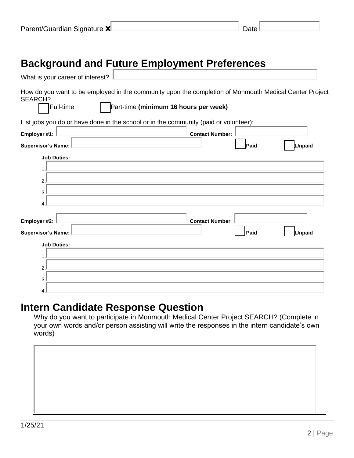| Parent/Guardian Signature XL | Date l |  |
|------------------------------|--------|--|
|------------------------------|--------|--|

#### **Background and Future Employment Preferences**

| What is your career of interest?                                                                                                                                               |                        |
|--------------------------------------------------------------------------------------------------------------------------------------------------------------------------------|------------------------|
| How do you want to be employed in the community upon the completion of Monmouth Medical Center Project<br><b>SEARCH?</b><br>Part-time (minimum 16 hours per week)<br>Full-time |                        |
| List jobs you do or have done in the school or in the community (paid or volunteer):                                                                                           |                        |
| Employer #1:                                                                                                                                                                   | <b>Contact Number:</b> |
| <b>Supervisor's Name:</b>                                                                                                                                                      | Paid<br><b>Unpaid</b>  |
| <b>Job Duties:</b>                                                                                                                                                             |                        |
| 1.                                                                                                                                                                             |                        |
| 2.                                                                                                                                                                             |                        |
| 3.                                                                                                                                                                             |                        |
| 4                                                                                                                                                                              |                        |
| Employer #2:                                                                                                                                                                   | <b>Contact Number:</b> |
| <b>Supervisor's Name:</b>                                                                                                                                                      | Paid<br><b>Unpaid</b>  |
| <b>Job Duties:</b>                                                                                                                                                             |                        |
| 1.                                                                                                                                                                             |                        |
| 2.                                                                                                                                                                             |                        |
| 3.                                                                                                                                                                             |                        |
| 4.                                                                                                                                                                             |                        |

#### **Intern Candidate Response Question**

Why do you want to participate in Monmouth Medical Center Project SEARCH? (Complete in your own words and/or person assisting will write the responses in the intern candidate's own words)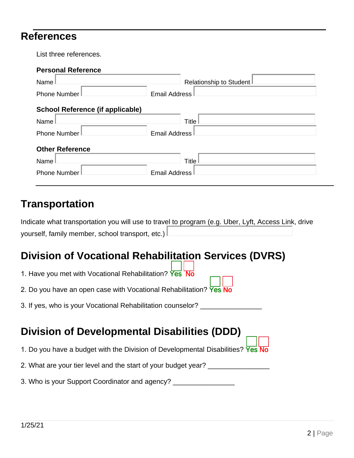#### **References**

List three references.

| <b>Personal Reference</b>               |                         |
|-----------------------------------------|-------------------------|
| Name                                    | Relationship to Student |
| Phone Number                            | <b>Email Address</b>    |
| <b>School Reference (if applicable)</b> |                         |
| Name                                    | Title <sup>1</sup>      |
| <b>Phone Number</b>                     | <b>Email Address</b>    |
| <b>Other Reference</b>                  |                         |
| Name                                    | Title                   |
| <b>Phone Number</b>                     | <b>Email Address</b>    |
|                                         |                         |

#### **Transportation**

|                                                    | Indicate what transportation you will use to travel to program (e.g. Uber, Lyft, Access Link, drive |
|----------------------------------------------------|-----------------------------------------------------------------------------------------------------|
| yourself, family member, school transport, etc.) L |                                                                                                     |

## **Division of Vocational Rehabilitation Services (DVRS)**

| 1. Have you met with Vocational Rehabilitation? Yes No                          |
|---------------------------------------------------------------------------------|
| 2. Do you have an open case with Vocational Rehabilitation? Yes No              |
| 3. If yes, who is your Vocational Rehabilitation counselor?                     |
|                                                                                 |
| <b>Division of Developmental Disabilities (DDD)</b>                             |
| 1. Do you have a budget with the Division of Developmental Disabilities? Yes No |
| 2. What are your tier level and the start of your budget year?                  |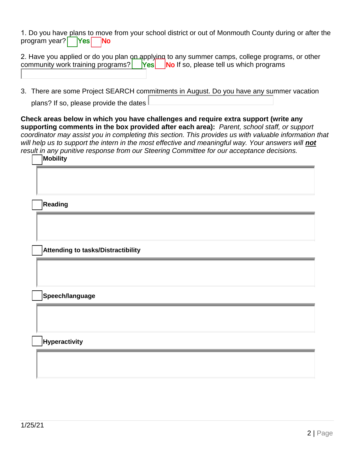1. Do you have plans to move from your school district or out of Monmouth County during or after the program year?  $\left| \right|$  Yes  $\left| \right|$  No

| 2. Have you applied or do you plan on applying to any summer camps, college programs, or other community work training programs?<br>No If so, please tell us which programs |  |  |
|-----------------------------------------------------------------------------------------------------------------------------------------------------------------------------|--|--|

3. There are some Project SEARCH commitments in August. Do you have any summer vacation plans? If so, please provide the dates

**Check areas below in which you have challenges and require extra support (write any supporting comments in the box provided after each area):** *Parent, school staff, or support coordinator may assist you in completing this section. This provides us with valuable information that*  will help us to support the intern in the most effective and meaningful way. Your answers will **not** *result in any punitive response from our Steering Committee for our acceptance decisions.*  ☐ **Mobility**

| <b> INIODIIILY</b>                 |
|------------------------------------|
|                                    |
|                                    |
| Reading                            |
|                                    |
|                                    |
| Attending to tasks/Distractibility |
|                                    |
|                                    |
| Speech/language                    |
|                                    |
|                                    |
| <b>Hyperactivity</b>               |
|                                    |
|                                    |
|                                    |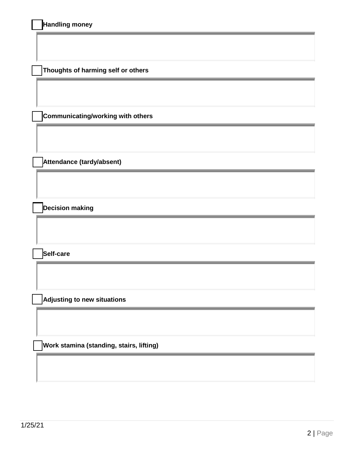| Handling money |  |
|----------------|--|
|----------------|--|

☐ **Thoughts of harming self or others**

☐ **Communicating/working with others**

☐ **Attendance (tardy/absent)**

☐ **Decision making**

☐ **Self-care**

☐ **Adjusting to new situations**

☐ **Work stamina (standing, stairs, lifting)**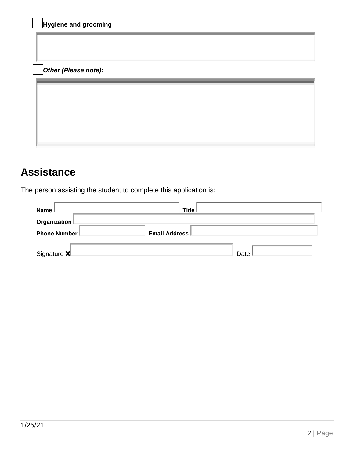| Hygiene and grooming |  |  |
|----------------------|--|--|
|                      |  |  |
|                      |  |  |
| Other (Please note): |  |  |
|                      |  |  |
|                      |  |  |
|                      |  |  |
|                      |  |  |
|                      |  |  |

#### **Assistance**

The person assisting the student to complete this application is:

| <b>Name</b>                         | Title                |      |
|-------------------------------------|----------------------|------|
| Organization $\mathbin{\mathsf{I}}$ |                      |      |
| Phone Number                        | <b>Email Address</b> |      |
| Signature <b>X</b> L                |                      | Date |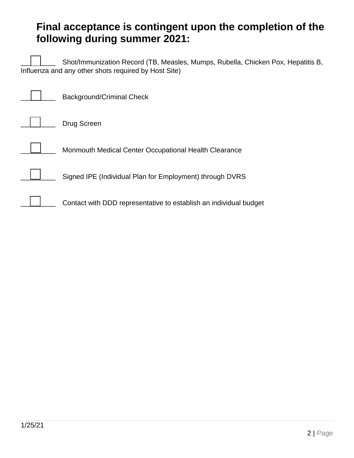#### **Final acceptance is contingent upon the completion of the following during summer 2021:**

Shot/Immunization Record (TB, Measles, Mumps, Rubella, Chicken Pox, Hepatitis B, Influenza and any other shots required by Host Site)

| Background/Criminal Check                                         |
|-------------------------------------------------------------------|
| Drug Screen                                                       |
| Monmouth Medical Center Occupational Health Clearance             |
| Signed IPE (Individual Plan for Employment) through DVRS          |
| Contact with DDD representative to establish an individual budget |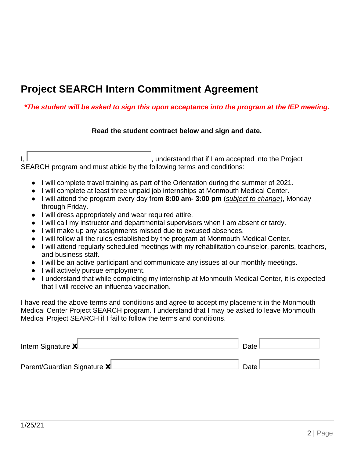#### **Project SEARCH Intern Commitment Agreement**

#### *\*The student will be asked to sign this upon acceptance into the program at the IEP meeting.*

#### **Read the student contract below and sign and date.**

 $I, \Box$ SEARCH program and must abide by the following terms and conditions:

- I will complete travel training as part of the Orientation during the summer of 2021.
- I will complete at least three unpaid job internships at Monmouth Medical Center.
- I will attend the program every day from **8:00 am- 3:00 pm** (*subject to change*), Monday through Friday.
- I will dress appropriately and wear required attire.
- I will call my instructor and departmental supervisors when I am absent or tardy.
- I will make up any assignments missed due to excused absences.
- I will follow all the rules established by the program at Monmouth Medical Center.
- I will attend regularly scheduled meetings with my rehabilitation counselor, parents, teachers, and business staff.
- I will be an active participant and communicate any issues at our monthly meetings.
- I will actively pursue employment.
- I understand that while completing my internship at Monmouth Medical Center, it is expected that I will receive an influenza vaccination.

I have read the above terms and conditions and agree to accept my placement in the Monmouth Medical Center Project SEARCH program. I understand that I may be asked to leave Monmouth Medical Project SEARCH if I fail to follow the terms and conditions.

| Intern Signature XL          | Date i |
|------------------------------|--------|
| Parent/Guardian Signature XL | Date.  |